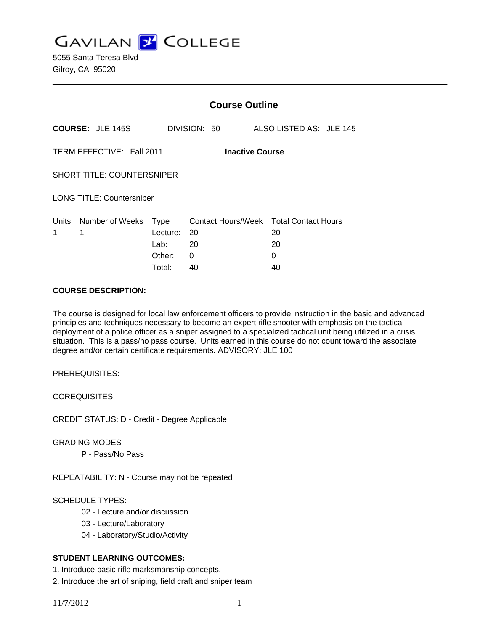**GAVILAN J COLLEGE** 

|                                                     |                                                       | <b>Course Outline</b> |              |                         |                                        |  |
|-----------------------------------------------------|-------------------------------------------------------|-----------------------|--------------|-------------------------|----------------------------------------|--|
|                                                     | <b>COURSE: JLE 145S</b>                               |                       | DIVISION: 50 | ALSO LISTED AS: JLE 145 |                                        |  |
| TERM EFFECTIVE: Fall 2011<br><b>Inactive Course</b> |                                                       |                       |              |                         |                                        |  |
| <b>SHORT TITLE: COUNTERSNIPER</b>                   |                                                       |                       |              |                         |                                        |  |
|                                                     | <b>LONG TITLE: Countersniper</b>                      |                       |              |                         |                                        |  |
| Units<br>1                                          | Number of Weeks<br><b>Type</b><br>1<br>20<br>Lecture: |                       |              | 20                      | Contact Hours/Week Total Contact Hours |  |
|                                                     |                                                       | Lab:                  | 20           | 20                      |                                        |  |
|                                                     |                                                       | Other:                | 0            | 0                       |                                        |  |
|                                                     |                                                       | Total:                | 40           | 40                      |                                        |  |

#### **COURSE DESCRIPTION:**

The course is designed for local law enforcement officers to provide instruction in the basic and advanced principles and techniques necessary to become an expert rifle shooter with emphasis on the tactical deployment of a police officer as a sniper assigned to a specialized tactical unit being utilized in a crisis situation. This is a pass/no pass course. Units earned in this course do not count toward the associate degree and/or certain certificate requirements. ADVISORY: JLE 100

PREREQUISITES:

COREQUISITES:

CREDIT STATUS: D - Credit - Degree Applicable

GRADING MODES

P - Pass/No Pass

REPEATABILITY: N - Course may not be repeated

# SCHEDULE TYPES:

- 02 Lecture and/or discussion
- 03 Lecture/Laboratory
- 04 Laboratory/Studio/Activity

### **STUDENT LEARNING OUTCOMES:**

1. Introduce basic rifle marksmanship concepts.

2. Introduce the art of sniping, field craft and sniper team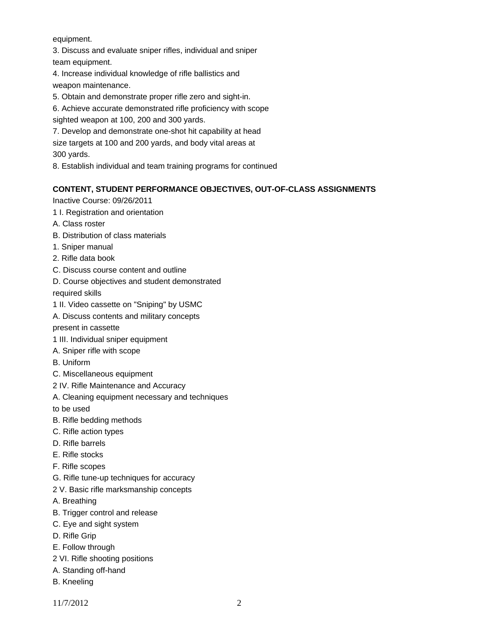#### equipment.

3. Discuss and evaluate sniper rifles, individual and sniper team equipment.

4. Increase individual knowledge of rifle ballistics and weapon maintenance.

- 5. Obtain and demonstrate proper rifle zero and sight-in.
- 6. Achieve accurate demonstrated rifle proficiency with scope
- sighted weapon at 100, 200 and 300 yards.

7. Develop and demonstrate one-shot hit capability at head

size targets at 100 and 200 yards, and body vital areas at 300 yards.

8. Establish individual and team training programs for continued

#### **CONTENT, STUDENT PERFORMANCE OBJECTIVES, OUT-OF-CLASS ASSIGNMENTS**

Inactive Course: 09/26/2011

- 1 I. Registration and orientation
- A. Class roster
- B. Distribution of class materials
- 1. Sniper manual
- 2. Rifle data book
- C. Discuss course content and outline
- D. Course objectives and student demonstrated

required skills

- 1 II. Video cassette on "Sniping" by USMC
- A. Discuss contents and military concepts
- present in cassette
- 1 III. Individual sniper equipment
- A. Sniper rifle with scope
- B. Uniform
- C. Miscellaneous equipment
- 2 IV. Rifle Maintenance and Accuracy
- A. Cleaning equipment necessary and techniques

to be used

- B. Rifle bedding methods
- C. Rifle action types
- D. Rifle barrels
- E. Rifle stocks
- F. Rifle scopes
- G. Rifle tune-up techniques for accuracy
- 2 V. Basic rifle marksmanship concepts
- A. Breathing
- B. Trigger control and release
- C. Eye and sight system
- D. Rifle Grip
- E. Follow through
- 2 VI. Rifle shooting positions
- A. Standing off-hand
- B. Kneeling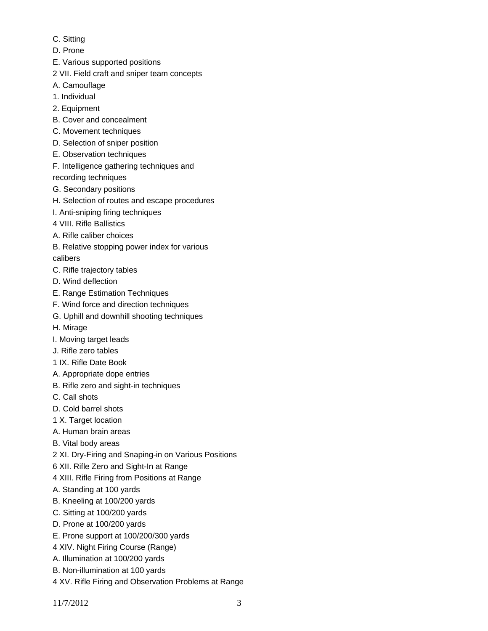- C. Sitting
- D. Prone
- E. Various supported positions
- 2 VII. Field craft and sniper team concepts
- A. Camouflage
- 1. Individual
- 2. Equipment
- B. Cover and concealment
- C. Movement techniques
- D. Selection of sniper position
- E. Observation techniques
- F. Intelligence gathering techniques and recording techniques
- G. Secondary positions
- H. Selection of routes and escape procedures
- I. Anti-sniping firing techniques
- 4 VIII. Rifle Ballistics
- A. Rifle caliber choices
- B. Relative stopping power index for various calibers
- C. Rifle trajectory tables
- D. Wind deflection
- E. Range Estimation Techniques
- F. Wind force and direction techniques
- G. Uphill and downhill shooting techniques
- H. Mirage
- I. Moving target leads
- J. Rifle zero tables
- 1 IX. Rifle Date Book
- A. Appropriate dope entries
- B. Rifle zero and sight-in techniques
- C. Call shots
- D. Cold barrel shots
- 1 X. Target location
- A. Human brain areas
- B. Vital body areas
- 2 XI. Dry-Firing and Snaping-in on Various Positions
- 6 XII. Rifle Zero and Sight-In at Range
- 4 XIII. Rifle Firing from Positions at Range
- A. Standing at 100 yards
- B. Kneeling at 100/200 yards
- C. Sitting at 100/200 yards
- D. Prone at 100/200 yards
- E. Prone support at 100/200/300 yards
- 4 XIV. Night Firing Course (Range)
- A. Illumination at 100/200 yards
- B. Non-illumination at 100 yards
- 4 XV. Rifle Firing and Observation Problems at Range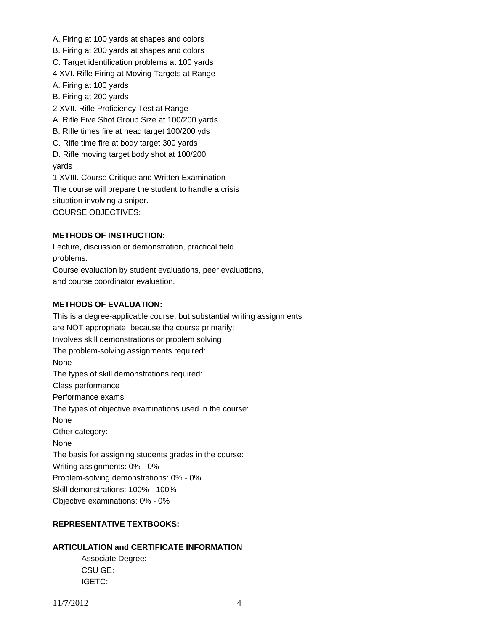- A. Firing at 100 yards at shapes and colors
- B. Firing at 200 yards at shapes and colors
- C. Target identification problems at 100 yards
- 4 XVI. Rifle Firing at Moving Targets at Range
- A. Firing at 100 yards
- B. Firing at 200 yards
- 2 XVII. Rifle Proficiency Test at Range
- A. Rifle Five Shot Group Size at 100/200 yards
- B. Rifle times fire at head target 100/200 yds
- C. Rifle time fire at body target 300 yards
- D. Rifle moving target body shot at 100/200
- yards

1 XVIII. Course Critique and Written Examination The course will prepare the student to handle a crisis situation involving a sniper. COURSE OBJECTIVES:

### **METHODS OF INSTRUCTION:**

Lecture, discussion or demonstration, practical field problems. Course evaluation by student evaluations, peer evaluations, and course coordinator evaluation.

#### **METHODS OF EVALUATION:**

This is a degree-applicable course, but substantial writing assignments are NOT appropriate, because the course primarily: Involves skill demonstrations or problem solving The problem-solving assignments required: None The types of skill demonstrations required: Class performance Performance exams The types of objective examinations used in the course: None Other category: None The basis for assigning students grades in the course: Writing assignments: 0% - 0% Problem-solving demonstrations: 0% - 0% Skill demonstrations: 100% - 100% Objective examinations: 0% - 0%

## **REPRESENTATIVE TEXTBOOKS:**

## **ARTICULATION and CERTIFICATE INFORMATION**

 Associate Degree: CSU GE: IGETC: